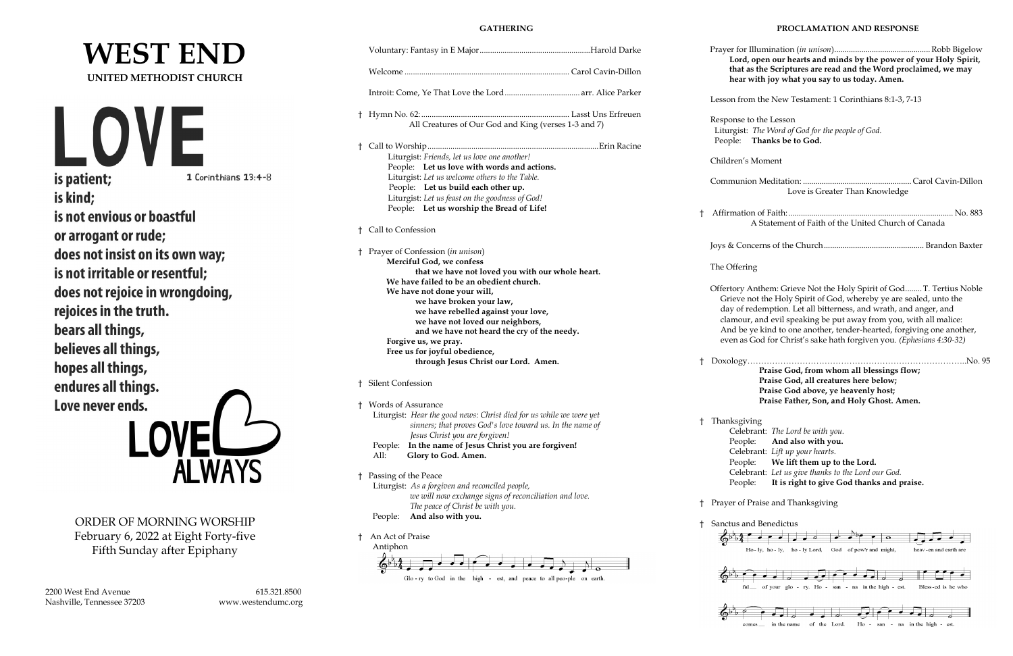# **WEST END UNITED METHODIST CHURCH**



is kind; is not envious or boastful or arrogant or rude; does not insist on its own way; is not irritable or resentful; does not rejoice in wrongdoing, rejoices in the truth. bears all things, believes all things, hopes all things, endures all things. Love never ends.

ORDER OF MORNING WORSHIP February 6, 2022 at Eight Forty-five Fifth Sunday after Epiphany

2200 West End Avenue 615.321.8500 Nashville, Tennessee 37203 www.westendumc.org

# **GATHERING**

|              |                                                                                             |       | Prayer fo<br>Lore    |
|--------------|---------------------------------------------------------------------------------------------|-------|----------------------|
|              |                                                                                             |       | that<br>hea          |
|              |                                                                                             |       | Lesson fr            |
| Ť.           |                                                                                             |       |                      |
|              | All Creatures of Our God and King (verses 1-3 and 7)                                        |       | Response<br>Liturgis |
|              |                                                                                             |       | People:              |
| Ť            |                                                                                             |       |                      |
|              | Liturgist: Friends, let us love one another!<br>People: Let us love with words and actions. |       | Children             |
|              | Liturgist: Let us welcome others to the Table.                                              |       |                      |
|              | People: Let us build each other up.                                                         |       | Commun               |
|              | Liturgist: Let us feast on the goodness of God!                                             |       |                      |
|              | People: Let us worship the Bread of Life!                                                   | $\pm$ | Affirmat             |
|              |                                                                                             |       |                      |
| ŧ            | Call to Confession                                                                          |       |                      |
|              |                                                                                             |       | Joys & Co            |
| $\mathsf{t}$ | Prayer of Confession (in unison)<br>Merciful God, we confess                                |       |                      |
|              | that we have not loved you with our whole heart.                                            |       | The Offer            |
|              | We have failed to be an obedient church.                                                    |       |                      |
|              | We have not done your will,                                                                 |       | Offertory            |
|              | we have broken your law,                                                                    |       | Grieve               |
|              | we have rebelled against your love,                                                         |       | day of<br>clamor     |
|              | we have not loved our neighbors,<br>and we have not heard the cry of the needy.             |       | And b                |
|              | Forgive us, we pray.                                                                        |       | even a               |
|              | Free us for joyful obedience,                                                               |       |                      |
|              | through Jesus Christ our Lord. Amen.                                                        | Ť     | Doxolog              |
| t            | <b>Silent Confession</b>                                                                    |       |                      |
|              | † Words of Assurance                                                                        |       |                      |
|              | Liturgist: Hear the good news: Christ died for us while we were yet                         | t     | <b>Thanksg</b>       |
|              | sinners; that proves God's love toward us. In the name of<br>Jesus Christ you are forgiven! |       | Cele                 |
|              | In the name of Jesus Christ you are forgiven!<br>People:                                    |       | Peo                  |
|              | All:<br>Glory to God. Amen.                                                                 |       | Cele                 |
|              |                                                                                             |       | Peo                  |
| Ť            | Passing of the Peace                                                                        |       | Cele                 |
|              | Liturgist: As a forgiven and reconciled people,                                             |       | Peo                  |
|              | we will now exchange signs of reconciliation and love.                                      | Ť     | Prayer of            |
|              | The peace of Christ be with you.<br>And also with you.                                      |       |                      |
|              | People:                                                                                     | t     | Sanctus a            |
| t            | An Act of Praise                                                                            |       |                      |
|              | Antiphon                                                                                    |       |                      |
|              |                                                                                             |       |                      |
|              |                                                                                             |       |                      |

Glo-ry to God in the high - est, and peace to all peo-ple on earth.

### **PROCLAMATION AND RESPONSE**

 Prayer for Illumination (*in unison*)..............................................Robb Bigelow **Lord, open our hearts and minds by the power of your Holy Spirit,** t as the Scriptures are read and the Word proclaimed, we may **hear with joy what you say to us today. Amen.**

rom the New Testament: 1 Corinthians 8:1-3, 7-13

e to the Lesson st: *The Word of God for the people of God.* **Thanks be to God.** 

's Moment

| Love is Greater Than Knowledge                      |  |
|-----------------------------------------------------|--|
| A Statement of Faith of the United Church of Canada |  |
|                                                     |  |

ring

Anthem: Grieve Not the Holy Spirit of God........T. Tertius Noble e not the Holy Spirit of God, whereby ye are sealed, unto the fredemption. Let all bitterness, and wrath, and anger, and ur, and evil speaking be put away from you, with all malice: be ye kind to one another, tender-hearted, forgiving one another, as God for Christ's sake hath forgiven you. *(Ephesians 4:30-32)* 

† Doxology……………………………………………………………………..No. 95 **Praise God, from whom all blessings flow; Praise God, all creatures here below; Praise God above, ye heavenly host; Praise Father, Son, and Holy Ghost. Amen.**

tiving

| Celebrant: The Lord be with you.                   |
|----------------------------------------------------|
| People: And also with you.                         |
| Celebrant: Lift up your hearts.                    |
| People: We lift them up to the Lord.               |
| Celebrant: Let us give thanks to the Lord our God. |
| People: It is right to give God thanks and praise. |

f Praise and Thanksgiving